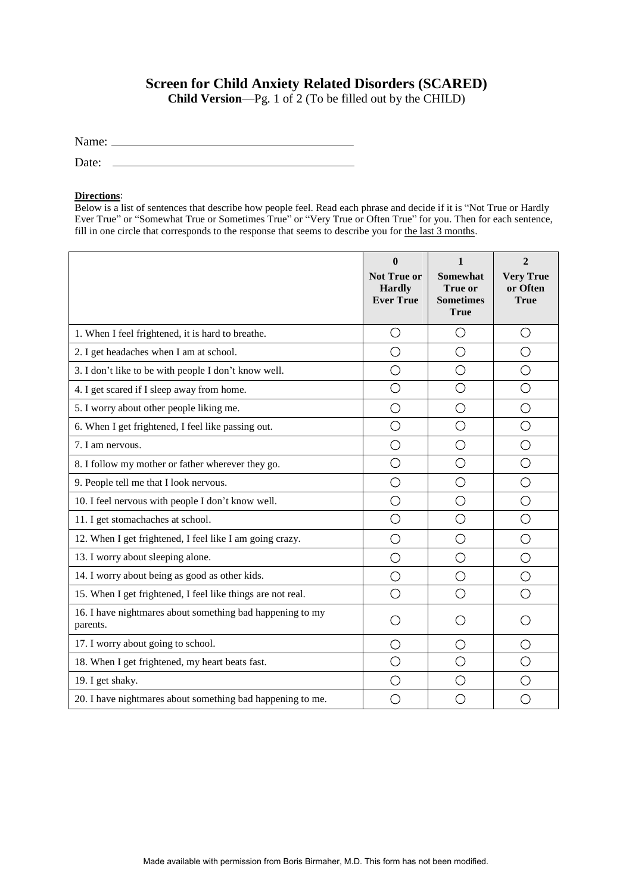## **Screen for Child Anxiety Related Disorders (SCARED)**

**Child Version**—Pg. 1 of 2 (To be filled out by the CHILD)

| Name: |  |
|-------|--|
| Date: |  |

## **Directions**:

Below is a list of sentences that describe how people feel. Read each phrase and decide if it is "Not True or Hardly Ever True" or "Somewhat True or Sometimes True" or "Very True or Often True" for you. Then for each sentence, fill in one circle that corresponds to the response that seems to describe you for the last 3 months.

|                                                                       | $\mathbf{0}$<br><b>Not True or</b><br><b>Hardly</b><br><b>Ever True</b> | 1<br>Somewhat<br><b>True or</b><br><b>Sometimes</b><br><b>True</b> | $\mathbf{2}$<br><b>Very True</b><br>or Often<br><b>True</b> |
|-----------------------------------------------------------------------|-------------------------------------------------------------------------|--------------------------------------------------------------------|-------------------------------------------------------------|
| 1. When I feel frightened, it is hard to breathe.                     | O                                                                       | ◯                                                                  | $\left(\right)$                                             |
| 2. I get headaches when I am at school.                               | O                                                                       | O                                                                  | O                                                           |
| 3. I don't like to be with people I don't know well.                  | O                                                                       | O                                                                  | $\bigcirc$                                                  |
| 4. I get scared if I sleep away from home.                            | О                                                                       | ◯                                                                  | O                                                           |
| 5. I worry about other people liking me.                              | $\overline{O}$                                                          | O                                                                  | ◯                                                           |
| 6. When I get frightened, I feel like passing out.                    | O                                                                       | ◯                                                                  | ◯                                                           |
| 7. I am nervous.                                                      | $\bigcirc$                                                              | O                                                                  | $\bigcirc$                                                  |
| 8. I follow my mother or father wherever they go.                     | O                                                                       | ◯                                                                  | ◯                                                           |
| 9. People tell me that I look nervous.                                | O                                                                       | О                                                                  | $\bigcirc$                                                  |
| 10. I feel nervous with people I don't know well.                     | O                                                                       | ◯                                                                  | ◯                                                           |
| 11. I get stomachaches at school.                                     | O                                                                       | O                                                                  | $\bigcirc$                                                  |
| 12. When I get frightened, I feel like I am going crazy.              | О                                                                       | ○                                                                  | O                                                           |
| 13. I worry about sleeping alone.                                     | O                                                                       | О                                                                  | О                                                           |
| 14. I worry about being as good as other kids.                        | O                                                                       | O                                                                  | O                                                           |
| 15. When I get frightened, I feel like things are not real.           | O                                                                       | ◯                                                                  | ◯                                                           |
| 16. I have nightmares about something bad happening to my<br>parents. | O                                                                       | ◯                                                                  |                                                             |
| 17. I worry about going to school.                                    | $\bigcirc$                                                              | О                                                                  | О                                                           |
| 18. When I get frightened, my heart beats fast.                       | О                                                                       | ◯                                                                  | ◯                                                           |
| 19. I get shaky.                                                      | $\bigcirc$                                                              | ◯                                                                  | O                                                           |
| 20. I have nightmares about something bad happening to me.            | ◯                                                                       | ⊖                                                                  | ∩                                                           |